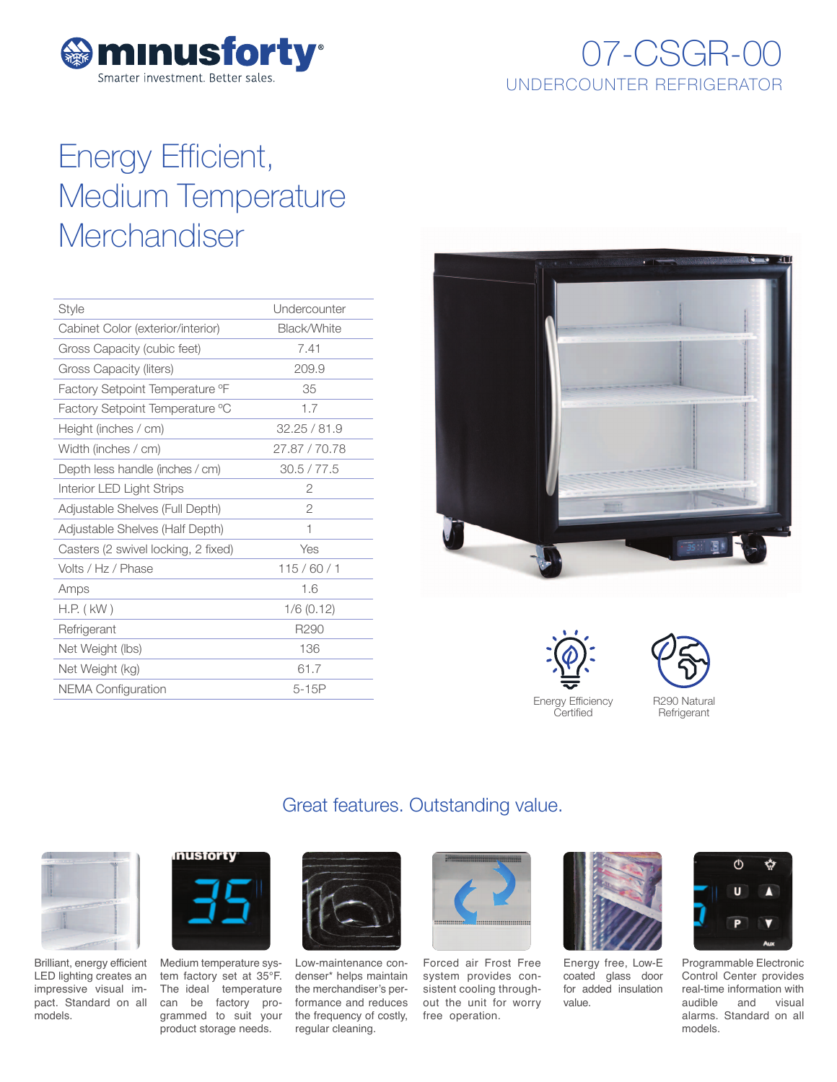

## 07-CSGR-00 UNDERCOUNTER REFRIGERATOR

# Energy Efficient, Medium Temperature **Merchandiser**

| <b>Style</b>                                | Undercounter     |
|---------------------------------------------|------------------|
| Cabinet Color (exterior/interior)           | Black/White      |
| Gross Capacity (cubic feet)                 | 7.41             |
| Gross Capacity (liters)                     | 209.9            |
| Factory Setpoint Temperature <sup>o</sup> F | 35               |
| Factory Setpoint Temperature °C             | 1.7              |
| Height (inches / cm)                        | 32.25 / 81.9     |
| Width (inches / cm)                         | 27.87 / 70.78    |
| Depth less handle (inches / cm)             | 30.5 / 77.5      |
| Interior LED Light Strips                   | 2                |
| Adjustable Shelves (Full Depth)             | $\overline{2}$   |
| Adjustable Shelves (Half Depth)             | 1                |
| Casters (2 swivel locking, 2 fixed)         | Yes              |
| Volts / Hz / Phase                          | 115/60/1         |
| Amps                                        | 1.6              |
| H.P. ( kW )                                 | $1/6$ (0.12)     |
| Refrigerant                                 | R <sub>290</sub> |
| Net Weight (lbs)                            | 136              |
| Net Weight (kg)                             | 61.7             |
| <b>NEMA Configuration</b>                   | $5-15P$          |
|                                             |                  |



Energy Efficiency Certified



### Great features. Outstanding value.



Brilliant, energy efficient LED lighting creates an impressive visual impact. Standard on all models.



Medium temperature system factory set at 35°F. The ideal temperature can be factory programmed to suit your product storage needs.



Low-maintenance condenser\* helps maintain the merchandiser's performance and reduces the frequency of costly, regular cleaning.



Forced air Frost Free system provides consistent cooling throughout the unit for worry free operation.



Energy free, Low-E coated glass door for added insulation value.



Programmable Electronic Control Center provides real-time information with audible and visual alarms. Standard on all models.